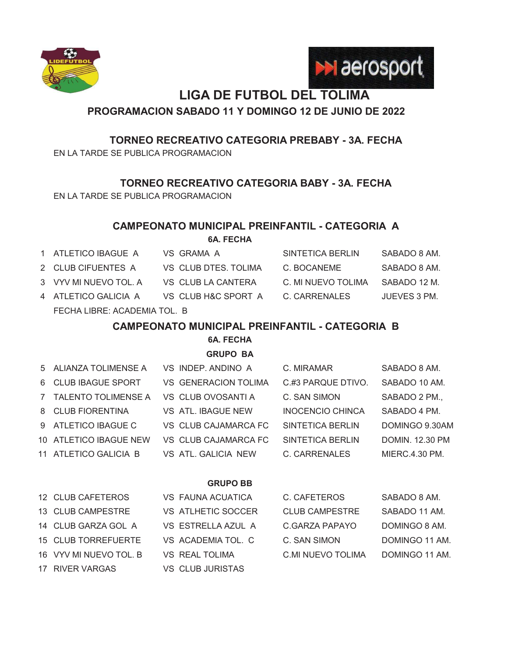



# **LIGA DE FUTBOL DEL TOLIMA**

### **PROGRAMACION SABADO 11 Y DOMINGO 12 DE JUNIO DE 2022**

### **TORNEO RECREATIVO CATEGORIA PREBABY - 3A. FECHA**

EN LA TARDE SE PUBLICA PROGRAMACION

**TORNEO RECREATIVO CATEGORIA BABY - 3A. FECHA**

EN LA TARDE SE PUBLICA PROGRAMACION

### **CAMPEONATO MUNICIPAL PREINFANTIL - CATEGORIA A**

**6A. FECHA**

1 ATLETICO IBAGUE A VS GRAMA A SINTETICA BERLIN SABADO 8 AM. 2 CLUB CIFUENTES A VS CLUB DTES. TOLIMA C. BOCANEME SABADO 8 AM. 3 VYV MI NUEVO TOL. A VS CLUB LA CANTERA C. MI NUEVO TOLIMA SABADO 12 M. 4 ATLETICO GALICIA A VS CLUB H&C SPORT A C. CARRENALES JUEVES 3 PM. FECHA LIBRE: ACADEMIA TOL. B

# **CAMPEONATO MUNICIPAL PREINFANTIL - CATEGORIA B**

**6A. FECHA**

**GRUPO BA**

| 5 ALIANZA TOLIMENSE A  | VS INDEP. ANDINO A          | C. MIRAMAR              | SABADO 8 AM.           |
|------------------------|-----------------------------|-------------------------|------------------------|
| 6 CLUB IBAGUE SPORT    | <b>VS GENERACION TOLIMA</b> | C.#3 PARQUE DTIVO.      | SABADO 10 AM.          |
| 7 TALENTO TOLIMENSE A  | VS CLUB OVOSANTI A          | C. SAN SIMON            | SABADO 2 PM.,          |
| 8 CLUB FIORENTINA      | VS ATL. IBAGUE NEW          | <b>INOCENCIO CHINCA</b> | SABADO 4 PM.           |
| 9 ATLETICO IBAGUE C    | VS CLUB CAJAMARCA FC        | SINTETICA BERLIN        | DOMINGO 9.30AM         |
| 10 ATLETICO IBAGUE NEW | VS CLUB CAJAMARCA FC        | SINTETICA BERLIN        | <b>DOMIN. 12.30 PM</b> |
| 11 ATLETICO GALICIA B  | VS ATL GALICIA NEW          | C. CARRENALES           | MIERC.4.30 PM.         |
|                        |                             |                         |                        |

### **GRUPO BB**

| 12 CLUB CAFETEROS      | VS FAUNA ACUATICA  | C. CAFETEROS          | SABADO 8 AM.   |
|------------------------|--------------------|-----------------------|----------------|
| 13 CLUB CAMPESTRE      | VS ATLHETIC SOCCER | <b>CLUB CAMPESTRE</b> | SABADO 11 AM.  |
| 14 CLUB GARZA GOL A    | VS ESTRELLA AZUL A | C.GARZA PAPAYO        | DOMINGO 8 AM.  |
| 15 CLUB TORREFUERTE    | VS ACADEMIA TOL C  | C. SAN SIMON          | DOMINGO 11 AM. |
| 16 VYV MI NUEVO TOL. B | VS REAL TOLIMA     | C.MI NUEVO TOLIMA     | DOMINGO 11 AM. |
| 17 RIVER VARGAS        | VS CLUB JURISTAS   |                       |                |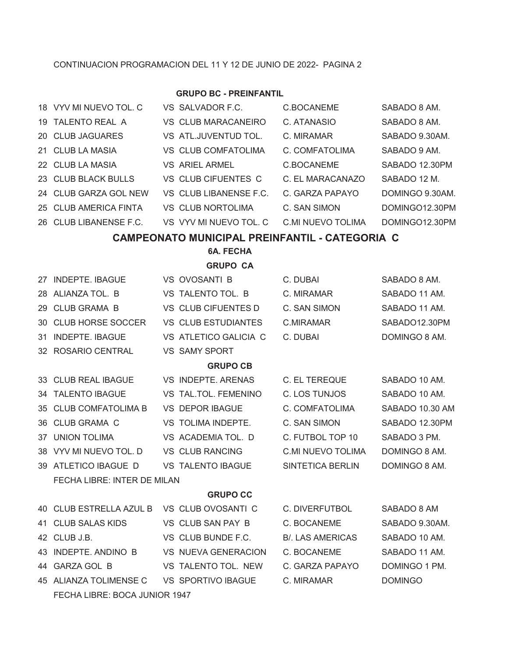### CONTINUACION PROGRAMACION DEL 11 Y 12 DE JUNIO DE 2022- PAGINA 2

### **GRUPO BC - PREINFANTIL**

|    | 18 VYV MI NUEVO TOL, C                     | VS SALVADOR F.C.                                      | <b>C.BOCANEME</b>        | SABADO 8 AM.    |
|----|--------------------------------------------|-------------------------------------------------------|--------------------------|-----------------|
|    | 19 TALENTO REAL A                          | VS CLUB MARACANEIRO                                   | C. ATANASIO              | SABADO 8 AM.    |
|    | 20 CLUB JAGUARES                           | VS ATL.JUVENTUD TOL.                                  | C. MIRAMAR               | SABADO 9.30AM.  |
|    | 21 CLUB LA MASIA                           | VS CLUB COMFATOLIMA                                   | C. COMFATOLIMA           | SABADO 9 AM.    |
|    | 22 CLUB LA MASIA                           | <b>VS ARIEL ARMEL</b>                                 | C.BOCANEME               | SABADO 12.30PM  |
|    | 23 CLUB BLACK BULLS                        | VS CLUB CIFUENTES C                                   | C. EL MARACANAZO         | SABADO 12 M.    |
|    | 24 CLUB GARZA GOL NEW                      | VS CLUB LIBANENSE F.C.                                | C. GARZA PAPAYO          | DOMINGO 9.30AM. |
|    | 25 CLUB AMERICA FINTA                      | VS CLUB NORTOLIMA                                     | C. SAN SIMON             | DOMINGO12.30PM  |
|    | 26 CLUB LIBANENSE F.C.                     | VS VYV MI NUEVO TOL. C                                | <b>C.MI NUEVO TOLIMA</b> | DOMINGO12.30PM  |
|    |                                            | <b>CAMPEONATO MUNICIPAL PREINFANTIL - CATEGORIA C</b> |                          |                 |
|    |                                            | <b>6A. FECHA</b>                                      |                          |                 |
|    |                                            | <b>GRUPO CA</b>                                       |                          |                 |
|    | 27 INDEPTE, IBAGUE                         | VS OVOSANTI B                                         | C. DUBAI                 | SABADO 8 AM.    |
|    | 28 ALIANZA TOL. B                          | VS TALENTO TOL. B                                     | C. MIRAMAR               | SABADO 11 AM.   |
|    | 29 CLUB GRAMA B                            | VS CLUB CIFUENTES D                                   | C. SAN SIMON             | SABADO 11 AM.   |
| 30 | <b>CLUB HORSE SOCCER</b>                   | <b>VS CLUB ESTUDIANTES</b>                            | <b>C.MIRAMAR</b>         | SABADO12.30PM   |
|    | 31 INDEPTE. IBAGUE                         | VS ATLETICO GALICIA C                                 | C. DUBAI                 | DOMINGO 8 AM.   |
|    | 32 ROSARIO CENTRAL                         | <b>VS SAMY SPORT</b>                                  |                          |                 |
|    |                                            | <b>GRUPO CB</b>                                       |                          |                 |
|    | 33 CLUB REAL IBAGUE                        | VS INDEPTE. ARENAS                                    | C. EL TEREQUE            | SABADO 10 AM.   |
|    | 34 TALENTO IBAGUE                          | VS TAL.TOL. FEMENINO                                  | C. LOS TUNJOS            | SABADO 10 AM.   |
|    | 35 CLUB COMFATOLIMA B                      | <b>VS DEPOR IBAGUE</b>                                | C. COMFATOLIMA           | SABADO 10.30 AM |
|    | 36 CLUB GRAMA C                            | VS TOLIMA INDEPTE.                                    | C. SAN SIMON             | SABADO 12.30PM  |
|    | 37 UNION TOLIMA                            | VS ACADEMIA TOL. D                                    | C. FUTBOL TOP 10         | SABADO 3 PM.    |
|    | 38 VYV MI NUEVO TOL. D                     | <b>VS CLUB RANCING</b>                                | <b>C.MI NUEVO TOLIMA</b> | DOMINGO 8 AM.   |
|    | 39 ATLETICO IBAGUE D                       | <b>VS TALENTO IBAGUE</b>                              | SINTETICA BERLIN         | DOMINGO 8 AM.   |
|    | FECHA LIBRE: INTER DE MILAN                |                                                       |                          |                 |
|    |                                            | <b>GRUPO CC</b>                                       |                          |                 |
|    | 40 CLUB ESTRELLA AZUL B VS CLUB OVOSANTI C |                                                       | C. DIVERFUTBOL           | SABADO 8 AM     |
|    | 41 CLUB SALAS KIDS                         | VS CLUB SAN PAY B                                     | C. BOCANEME              | SABADO 9.30AM.  |
|    | 42 CLUB J.B.                               | VS CLUB BUNDE F.C.                                    | <b>B/. LAS AMERICAS</b>  | SABADO 10 AM.   |
|    | 43 INDEPTE. ANDINO B VS NUEVA GENERACION   |                                                       | C. BOCANEME              | SABADO 11 AM.   |
|    | 44 GARZA GOL B                             | VS TALENTO TOL. NEW                                   | C. GARZA PAPAYO          | DOMINGO 1 PM.   |
|    | 45 ALIANZA TOLIMENSE C VS SPORTIVO IBAGUE  |                                                       | C. MIRAMAR               | <b>DOMINGO</b>  |
|    | FECHA LIBRE: BOCA JUNIOR 1947              |                                                       |                          |                 |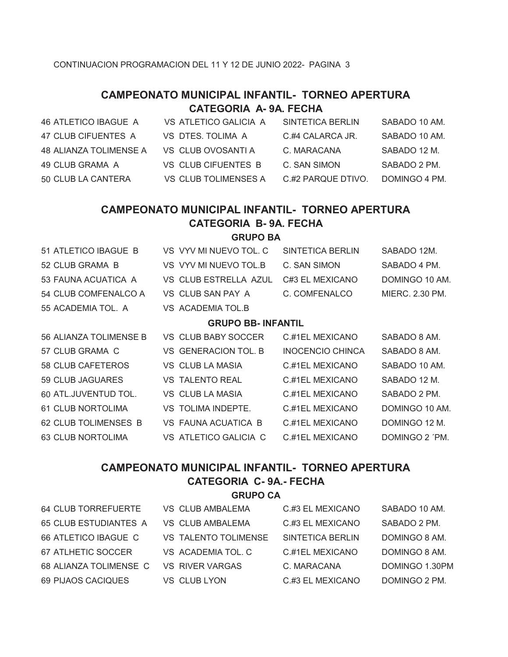### **CAMPEONATO MUNICIPAL INFANTIL- TORNEO APERTURA CATEGORIA A- 9A. FECHA**

| 46 ATLETICO IBAGUE A   | VS ATLETICO GALICIA A | SINTETICA BERLIN   | SABADO 10 AM. |
|------------------------|-----------------------|--------------------|---------------|
| 47 CLUB CIFUENTES A    | VS DTES. TOLIMA A     | C.#4 CALARCA JR.   | SABADO 10 AM. |
| 48 ALIANZA TOLIMENSE A | VS CLUB OVOSANTI A    | C. MARACANA        | SABADO 12 M.  |
| 49 CLUB GRAMA A        | VS CLUB CIFUENTES B   | C. SAN SIMON       | SABADO 2 PM.  |
| 50 CLUB LA CANTERA     | VS CLUB TOLIMENSES A  | C.#2 PARQUE DTIVO. | DOMINGO 4 PM. |

# **CAMPEONATO MUNICIPAL INFANTIL- TORNEO APERTURA CATEGORIA B- 9A. FECHA**

### **GRUPO BA**

| 51 ATLETICO IBAGUE B      | VS VYV MI NUEVO TOL. C | SINTETICA BERLIN | SABADO 12M.     |  |  |
|---------------------------|------------------------|------------------|-----------------|--|--|
| 52 CLUB GRAMA B           | VS VYV MI NUEVO TOL.B  | C. SAN SIMON     | SABADO 4 PM.    |  |  |
| 53 FAUNA ACUATICA A       | VS CLUB ESTRELLA AZUL  | C#3 EL MEXICANO  | DOMINGO 10 AM.  |  |  |
| 54 CLUB COMFENALCO A      | VS CLUB SAN PAY A      | C. COMFENALCO    | MIERC, 2.30 PM. |  |  |
| 55 ACADEMIA TOL. A        | VS ACADEMIA TOL.B      |                  |                 |  |  |
| <b>GRUPO BB- INFANTIL</b> |                        |                  |                 |  |  |
| 56 ALIANZA TOLIMENSE B    | VS CLUB BABY SOCCER    | C.#1EL MEXICANO  | SABADO 8 AM.    |  |  |

| 57 CLUB GRAMA C          | VS GENERACION TOL. B   | <b>INOCENCIO CHINCA</b> | SABADO 8 AM.   |
|--------------------------|------------------------|-------------------------|----------------|
| <b>58 CLUB CAFETEROS</b> | VS CLUB LA MASIA       | C.#1EL MEXICANO         | SABADO 10 AM.  |
| 59 CLUB JAGUARES         | <b>VS TALENTO REAL</b> | C.#1EL MEXICANO         | SABADO 12 M.   |
| 60 ATL.JUVENTUD TOL.     | VS CLUB LA MASIA       | C.#1EL MEXICANO         | SABADO 2 PM.   |
| 61 CLUB NORTOLIMA        | VS TOLIMA INDEPTE.     | C.#1EL MEXICANO         | DOMINGO 10 AM. |
| 62 CLUB TOLIMENSES B     | VS FAUNA ACUATICA B    | C.#1EL MEXICANO         | DOMINGO 12 M.  |
| 63 CLUB NORTOLIMA        | VS ATLETICO GALICIA C  | C.#1EL MEXICANO         | DOMINGO 2 'PM. |
|                          |                        |                         |                |

### **CAMPEONATO MUNICIPAL INFANTIL- TORNEO APERTURA CATEGORIA C- 9A.- FECHA**

### **GRUPO CA**

| <b>64 CLUB TORREFUERTE</b>   | VS CLUB AMBALEMA            | C.#3 EL MEXICANO | SABADO 10 AM.  |
|------------------------------|-----------------------------|------------------|----------------|
| <b>65 CLUB ESTUDIANTES A</b> | VS CLUB AMBALEMA            | C.#3 EL MEXICANO | SABADO 2 PM.   |
| 66 ATLETICO IBAGUE C         | <b>VS TALENTO TOLIMENSE</b> | SINTETICA BERLIN | DOMINGO 8 AM.  |
| 67 ATLHETIC SOCCER           | VS ACADEMIA TOL. C          | C.#1EL MEXICANO  | DOMINGO 8 AM.  |
| 68 ALIANZA TOLIMENSE C       | VS RIVER VARGAS             | C. MARACANA      | DOMINGO 1.30PM |
| 69 PIJAOS CACIQUES           | VS CLUB LYON                | C.#3 EL MEXICANO | DOMINGO 2 PM.  |
|                              |                             |                  |                |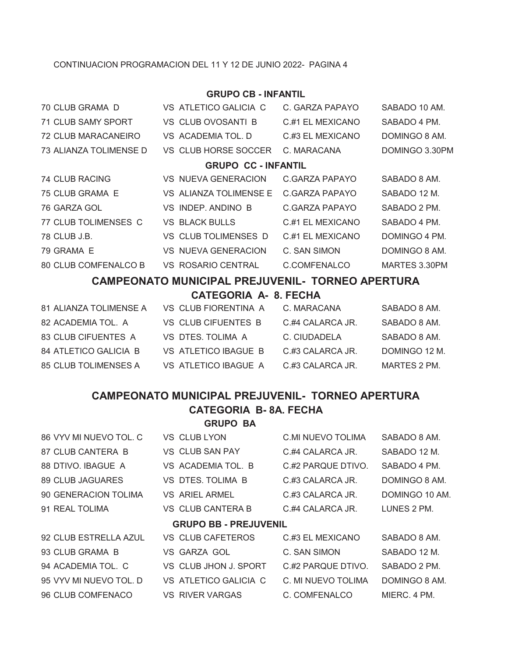### CONTINUACION PROGRAMACION DEL 11 Y 12 DE JUNIO 2022- PAGINA 4

### **GRUPO CB - INFANTIL**

| 70 CLUB GRAMA D        | VS ATLETICO GALICIA C      | C. GARZA PAPAYO  | SABADO 10 AM.  |
|------------------------|----------------------------|------------------|----------------|
| 71 CLUB SAMY SPORT     | <b>VS CLUB OVOSANTI B</b>  | C.#1 EL MEXICANO | SABADO 4 PM.   |
| 72 CLUB MARACANEIRO    | VS ACADEMIA TOL. D         | C.#3 EL MEXICANO | DOMINGO 8 AM.  |
| 73 ALIANZA TOLIMENSE D | VS CLUB HORSE SOCCER       | C. MARACANA      | DOMINGO 3.30PM |
|                        | <b>GRUPO CC - INFANTIL</b> |                  |                |
| <b>74 CLUB RACING</b>  | VS NUFVA GENERACION        | C GARZA PAPAYO   | SABADO 8 AM.   |
| 75 CLUB GRAMA E        | VS ALIANZA TOLIMENSE E     | C GARZA PAPAYO   | SABADO 12 M.   |
| 76 GARZA GOL           | VS INDEP ANDINO B          | C.GARZA PAPAYO   | SABADO 2 PM.   |
| 77 CLUB TOLIMENSES C   | <b>VS BLACK BULLS</b>      | C#1 EL MEXICANO  | SABADO 4 PM.   |
| 78 CLUB J.B.           | VS CLUB TOLIMENSES D       | C.#1 EL MEXICANO | DOMINGO 4 PM.  |
| 79 GRAMA E             | VS NUEVA GENERACION        | C. SAN SIMON     | DOMINGO 8 AM.  |
| 80 CLUB COMFENALCO B   | <b>VS ROSARIO CENTRAL</b>  | C.COMFENALCO     | MARTES 3.30PM  |
|                        |                            |                  |                |

### **CAMPEONATO MUNICIPAL PREJUVENIL- TORNEO APERTURA**

#### **CATEGORIA A- 8. FECHA**

| 81 ALIANZA TOLIMENSE A | VS CLUB FIORENTINA A | C. MARACANA      | SABADO 8 AM.  |
|------------------------|----------------------|------------------|---------------|
| 82 ACADEMIA TOL. A     | VS CLUB CIFUENTES B  | C.#4 CALARCA JR. | SABADO 8 AM.  |
| 83 CLUB CIFUENTES A    | VS DTES TOLIMA A     | C. CIUDADELA     | SABADO 8 AM.  |
| 84 ATLETICO GALICIA B  | VS ATLETICO IBAGUE B | C.#3 CALARCA JR. | DOMINGO 12 M. |
| 85 CLUB TOLIMENSES A   | VS ATLETICO IBAGUE A | C.#3 CALARCA JR. | MARTES 2 PM.  |

# **CAMPEONATO MUNICIPAL PREJUVENIL- TORNEO APERTURA CATEGORIA B- 8A. FECHA**

#### **GRUPO BA**

| 86 VYV MI NUEVO TOL. C | VS CLUB LYON                 | C.MI NUEVO TOLIMA  | SABADO 8 AM.   |
|------------------------|------------------------------|--------------------|----------------|
| 87 CLUB CANTERA B      | VS CLUB SAN PAY              | C.#4 CALARCA JR.   | SABADO 12 M.   |
| 88 DTIVO. IBAGUE A     | VS ACADEMIA TOL. B           | C.#2 PARQUE DTIVO. | SABADO 4 PM.   |
| 89 CLUB JAGUARES       | VS DTES. TOLIMA B            | C.#3 CALARCA JR.   | DOMINGO 8 AM.  |
| 90 GENERACION TOLIMA   | <b>VS ARIEL ARMEL</b>        | C.#3 CALARCA JR.   | DOMINGO 10 AM. |
| 91 REAL TOLIMA         | VS CLUB CANTERA B            | C.#4 CALARCA JR.   | LUNES 2 PM.    |
|                        | <b>GRUPO BB - PREJUVENIL</b> |                    |                |
| 92 CLUB ESTRELLA AZUL  | VS CLUB CAFETEROS            | C.#3 EL MEXICANO   | SABADO 8 AM.   |
| 93 CLUB GRAMA B        | VS GARZA GOL                 | C. SAN SIMON       | SABADO 12 M.   |
| 94 ACADEMIA TOL. C     | VS CLUB JHON J. SPORT        | C.#2 PARQUE DTIVO. | SABADO 2 PM.   |
| 95 VYV MI NUEVO TOL. D | VS ATLETICO GALICIA C        | C. MI NUEVO TOLIMA | DOMINGO 8 AM.  |
| 96 CLUB COMFENACO      | <b>VS RIVER VARGAS</b>       | C. COMFENALCO      | MIERC, 4 PM.   |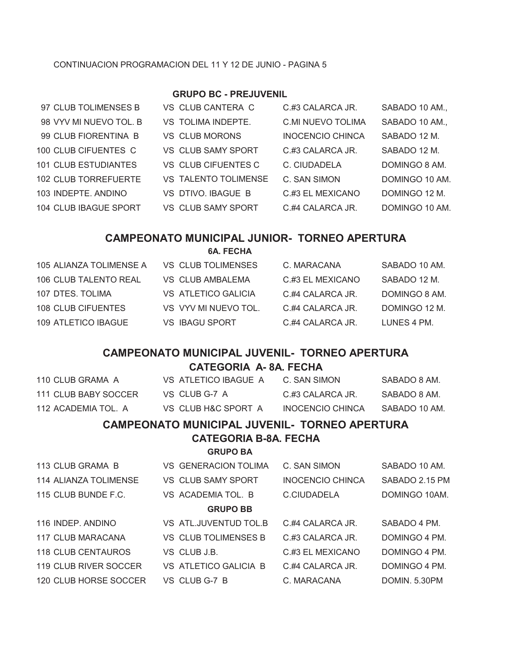### CONTINUACION PROGRAMACION DEL 11 Y 12 DE JUNIO - PAGINA 5

### **GRUPO BC - PREJUVENIL**

| 97 CLUB TOLIMENSES B        | VS CLUB CANTERA C         | C.#3 CALARCA JR.        | SABADO 10 AM., |
|-----------------------------|---------------------------|-------------------------|----------------|
| 98 VYV MI NUEVO TOL. B      | VS TOLIMA INDEPTE.        | C.MI NUEVO TOLIMA       | SABADO 10 AM., |
| 99 CLUB FIORENTINA B        | <b>VS CLUB MORONS</b>     | <b>INOCENCIO CHINCA</b> | SABADO 12 M.   |
| 100 CLUB CIFUENTES C        | <b>VS CLUB SAMY SPORT</b> | C.#3 CALARCA JR.        | SABADO 12 M.   |
| <b>101 CLUB ESTUDIANTES</b> | VS CLUB CIFUENTES C       | C. CIUDADELA            | DOMINGO 8 AM.  |
| 102 CLUB TORREFUERTE        | VS TALENTO TOLIMENSE      | C. SAN SIMON            | DOMINGO 10 AM. |
| 103 INDEPTE. ANDINO         | VS DTIVO, IBAGUE B        | C.#3 EL MEXICANO        | DOMINGO 12 M.  |
| 104 CLUB IBAGUE SPORT       | <b>VS CLUB SAMY SPORT</b> | C.#4 CALARCA JR.        | DOMINGO 10 AM. |
|                             |                           |                         |                |

## **CAMPEONATO MUNICIPAL JUNIOR- TORNEO APERTURA**

**6A. FECHA**

| 105 ALIANZA TOLIMENSE A | VS CLUB TOLIMENSES    | C. MARACANA        | SABADO 10 AM. |
|-------------------------|-----------------------|--------------------|---------------|
| 106 CLUB TALENTO REAL   | VS CLUB AMBALEMA      | C.#3 EL MEXICANO   | SABADO 12 M.  |
| 107 DTES, TOLIMA        | VS ATLETICO GALICIA   | $C$ #4 CALARCA JR. | DOMINGO 8 AM. |
| 108 CLUB CIFUENTES      | VS VYV MI NUEVO TOL.  | C.#4 CALARCA JR.   | DOMINGO 12 M. |
| 109 ATLETICO IBAGUE     | <b>VS IBAGU SPORT</b> | C.#4 CALARCA JR.   | LUNES 4 PM.   |

### **CAMPEONATO MUNICIPAL JUVENIL- TORNEO APERTURA**

### **CATEGORIA A- 8A. FECHA**

| CAMDEONATO MUNICIDAL IUVENII<br>TODNEO ADEDTHDA |                      |                  |               |  |  |
|-------------------------------------------------|----------------------|------------------|---------------|--|--|
| 112 ACADEMIA TOL. A                             | VS CLUB H&C SPORT A  | INOCENCIO CHINCA | SABADO 10 AM. |  |  |
| 111 CLUB BABY SOCCER-                           | VS CLUBG-7 A         | C.#3 CALARCA JR. | SARADO 8 AM   |  |  |
| 110 CLUB GRAMA A                                | VS ATLETICO IBAGUE A | C. SAN SIMON     | SABADO 8 AM.  |  |  |

#### **CAMPEONATO MUNICIPAL JUVENIL- TORNEO APERTURA**

### **CATEGORIA B-8A. FECHA**

#### **GRUPO BA**

| 113 CLUB GRAMA B      | <b>VS GENERACION TOLIMA</b> | C. SAN SIMON            | SABADO 10 AM.  |  |
|-----------------------|-----------------------------|-------------------------|----------------|--|
| 114 ALIANZA TOLIMENSE | <b>VS CLUB SAMY SPORT</b>   | <b>INOCENCIO CHINCA</b> | SABADO 2.15 PM |  |
| 115 CLUB BUNDE F.C.   | VS ACADEMIA TOL. B          | C.CIUDADELA             | DOMINGO 10AM.  |  |
| <b>GRUPO BB</b>       |                             |                         |                |  |
| 116 INDEP. ANDINO     | VS ATL.JUVENTUD TOL.B       | $C$ #4 CALARCA JR.      | SABADO 4 PM.   |  |
| 117 CLUB MARACANA     | <b>VS CLUB TOLIMENSES B</b> | C.#3 CALARCA JR.        | DOMINGO 4 PM.  |  |
| 118 CLUB CENTAUROS    | VS CLUB J.B.                | C.#3 EL MEXICANO        | DOMINGO 4 PM.  |  |
| 119 CLUB RIVER SOCCER | VS ATLETICO GALICIA B       | $C$ #4 CALARCA JR.      | DOMINGO 4 PM.  |  |
| 120 CLUB HORSE SOCCER | VS CLUB G-7 B               | C. MARACANA             | DOMIN. 5.30PM  |  |
|                       |                             |                         |                |  |